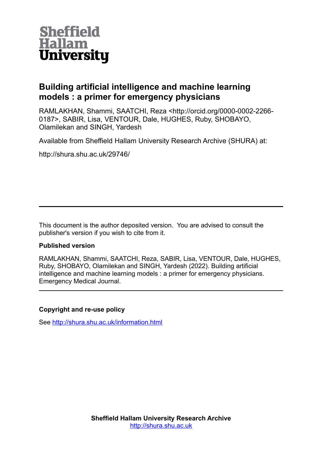

## **Building artificial intelligence and machine learning models : a primer for emergency physicians**

RAMLAKHAN, Shammi, SAATCHI, Reza <http://orcid.org/0000-0002-2266- 0187>, SABIR, Lisa, VENTOUR, Dale, HUGHES, Ruby, SHOBAYO, Olamilekan and SINGH, Yardesh

Available from Sheffield Hallam University Research Archive (SHURA) at:

http://shura.shu.ac.uk/29746/

This document is the author deposited version. You are advised to consult the publisher's version if you wish to cite from it.

## **Published version**

RAMLAKHAN, Shammi, SAATCHI, Reza, SABIR, Lisa, VENTOUR, Dale, HUGHES, Ruby, SHOBAYO, Olamilekan and SINGH, Yardesh (2022). Building artificial intelligence and machine learning models : a primer for emergency physicians. Emergency Medical Journal.

## **Copyright and re-use policy**

See<http://shura.shu.ac.uk/information.html>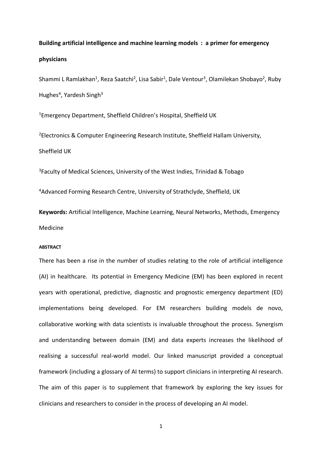# **Building artificial intelligence and machine learning models : a primer for emergency physicians**

Shammi L Ramlakhan<sup>1</sup>, Reza Saatchi<sup>2</sup>, Lisa Sabir<sup>1</sup>, Dale Ventour<sup>3</sup>, Olamilekan Shobayo<sup>2</sup>, Ruby Hughes<sup>4</sup>, Yardesh Singh<sup>3</sup>

<sup>1</sup>Emergency Department, Sheffield Children's Hospital, Sheffield UK

<sup>2</sup>Electronics & Computer Engineering Research Institute, Sheffield Hallam University, Sheffield UK

<sup>3</sup>Faculty of Medical Sciences, University of the West Indies, Trinidad & Tobago

<sup>4</sup>Advanced Forming Research Centre, University of Strathclyde, Sheffield, UK

**Keywords:** Artificial Intelligence, Machine Learning, Neural Networks, Methods, Emergency Medicine

#### **ABSTRACT**

There has been a rise in the number of studies relating to the role of artificial intelligence (AI) in healthcare. Its potential in Emergency Medicine (EM) has been explored in recent years with operational, predictive, diagnostic and prognostic emergency department (ED) implementations being developed. For EM researchers building models de novo, collaborative working with data scientists is invaluable throughout the process. Synergism and understanding between domain (EM) and data experts increases the likelihood of realising a successful real-world model. Our linked manuscript provided a conceptual framework (including a glossary of AI terms) to support clinicians in interpreting AI research. The aim of this paper is to supplement that framework by exploring the key issues for clinicians and researchers to consider in the process of developing an AI model.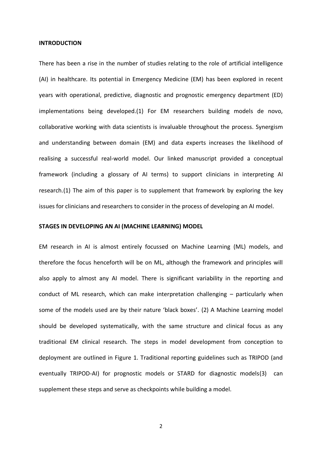#### **INTRODUCTION**

There has been a rise in the number of studies relating to the role of artificial intelligence (AI) in healthcare. Its potential in Emergency Medicine (EM) has been explored in recent years with operational, predictive, diagnostic and prognostic emergency department (ED) implementations being developed.(1) For EM researchers building models de novo, collaborative working with data scientists is invaluable throughout the process. Synergism and understanding between domain (EM) and data experts increases the likelihood of realising a successful real-world model. Our linked manuscript provided a conceptual framework (including a glossary of AI terms) to support clinicians in interpreting AI research.(1) The aim of this paper is to supplement that framework by exploring the key issues for clinicians and researchers to consider in the process of developing an AI model.

#### **STAGES IN DEVELOPING AN AI (MACHINE LEARNING) MODEL**

EM research in AI is almost entirely focussed on Machine Learning (ML) models, and therefore the focus henceforth will be on ML, although the framework and principles will also apply to almost any AI model. There is significant variability in the reporting and conduct of ML research, which can make interpretation challenging – particularly when some of the models used are by their nature 'black boxes'. (2) A Machine Learning model should be developed systematically, with the same structure and clinical focus as any traditional EM clinical research. The steps in model development from conception to deployment are outlined in Figure 1. Traditional reporting guidelines such as TRIPOD (and eventually TRIPOD-AI) for prognostic models or STARD for diagnostic models(3) can supplement these steps and serve as checkpoints while building a model.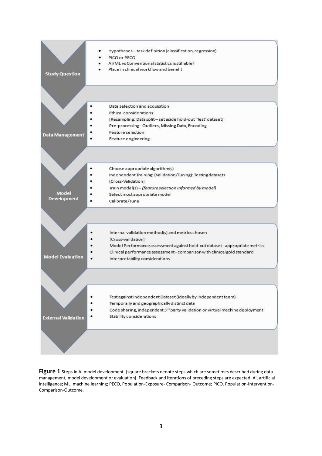

Figure 1 Steps in AI model development. [square brackets denote steps which are sometimes described during data management, model development or evaluation]. Feedback and iterations of preceding steps are expected. AI, artificial intelligence; ML, machine learning; PECO, Population-Exposure- Comparison- Outcome; PICO, Population-Intervention-Comparison-Outcome.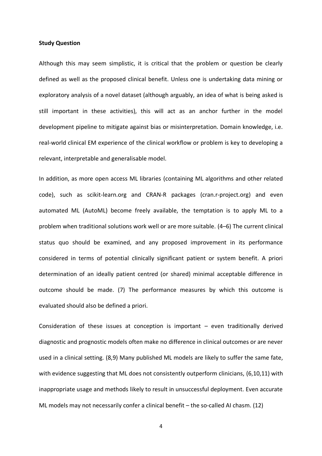#### **Study Question**

Although this may seem simplistic, it is critical that the problem or question be clearly defined as well as the proposed clinical benefit. Unless one is undertaking data mining or exploratory analysis of a novel dataset (although arguably, an idea of what is being asked is still important in these activities), this will act as an anchor further in the model development pipeline to mitigate against bias or misinterpretation. Domain knowledge, i.e. real-world clinical EM experience of the clinical workflow or problem is key to developing a relevant, interpretable and generalisable model.

In addition, as more open access ML libraries (containing ML algorithms and other related code), such as scikit-learn.org and CRAN-R packages (cran.r-project.org) and even automated ML (AutoML) become freely available, the temptation is to apply ML to a problem when traditional solutions work well or are more suitable. (4–6) The current clinical status quo should be examined, and any proposed improvement in its performance considered in terms of potential clinically significant patient or system benefit. A priori determination of an ideally patient centred (or shared) minimal acceptable difference in outcome should be made. (7) The performance measures by which this outcome is evaluated should also be defined a priori.

Consideration of these issues at conception is important – even traditionally derived diagnostic and prognostic models often make no difference in clinical outcomes or are never used in a clinical setting. (8,9) Many published ML models are likely to suffer the same fate, with evidence suggesting that ML does not consistently outperform clinicians, (6,10,11) with inappropriate usage and methods likely to result in unsuccessful deployment. Even accurate ML models may not necessarily confer a clinical benefit – the so-called AI chasm. (12)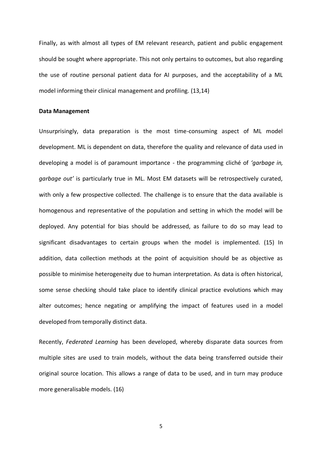Finally, as with almost all types of EM relevant research, patient and public engagement should be sought where appropriate. This not only pertains to outcomes, but also regarding the use of routine personal patient data for AI purposes, and the acceptability of a ML model informing their clinical management and profiling. (13,14)

#### **Data Management**

Unsurprisingly, data preparation is the most time-consuming aspect of ML model development. ML is dependent on data, therefore the quality and relevance of data used in developing a model is of paramount importance - the programming cliché of *'garbage in, garbage out'* is particularly true in ML. Most EM datasets will be retrospectively curated, with only a few prospective collected. The challenge is to ensure that the data available is homogenous and representative of the population and setting in which the model will be deployed. Any potential for bias should be addressed, as failure to do so may lead to significant disadvantages to certain groups when the model is implemented. (15) In addition, data collection methods at the point of acquisition should be as objective as possible to minimise heterogeneity due to human interpretation. As data is often historical, some sense checking should take place to identify clinical practice evolutions which may alter outcomes; hence negating or amplifying the impact of features used in a model developed from temporally distinct data.

Recently, *Federated Learning* has been developed, whereby disparate data sources from multiple sites are used to train models, without the data being transferred outside their original source location. This allows a range of data to be used, and in turn may produce more generalisable models. (16)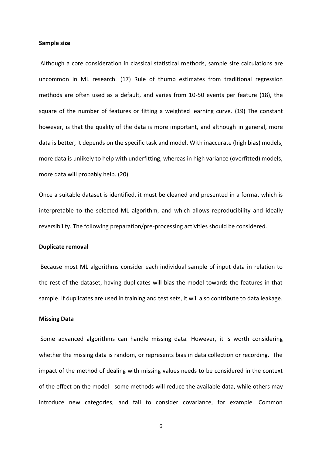#### **Sample size**

Although a core consideration in classical statistical methods, sample size calculations are uncommon in ML research. (17) Rule of thumb estimates from traditional regression methods are often used as a default, and varies from 10-50 events per feature (18), the square of the number of features or fitting a weighted learning curve. (19) The constant however, is that the quality of the data is more important, and although in general, more data is better, it depends on the specific task and model. With inaccurate (high bias) models, more data is unlikely to help with underfitting, whereas in high variance (overfitted) models, more data will probably help. (20)

Once a suitable dataset is identified, it must be cleaned and presented in a format which is interpretable to the selected ML algorithm, and which allows reproducibility and ideally reversibility. The following preparation/pre-processing activities should be considered.

#### **Duplicate removal**

Because most ML algorithms consider each individual sample of input data in relation to the rest of the dataset, having duplicates will bias the model towards the features in that sample. If duplicates are used in training and test sets, it will also contribute to data leakage.

#### **Missing Data**

Some advanced algorithms can handle missing data. However, it is worth considering whether the missing data is random, or represents bias in data collection or recording. The impact of the method of dealing with missing values needs to be considered in the context of the effect on the model - some methods will reduce the available data, while others may introduce new categories, and fail to consider covariance, for example. Common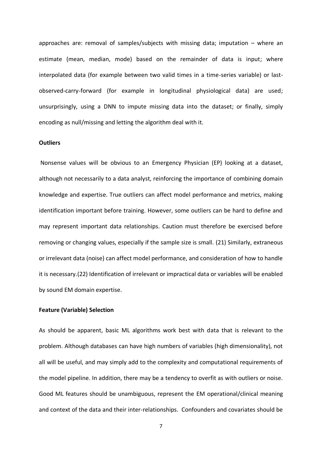approaches are: removal of samples/subjects with missing data; imputation – where an estimate (mean, median, mode) based on the remainder of data is input; where interpolated data (for example between two valid times in a time-series variable) or lastobserved-carry-forward (for example in longitudinal physiological data) are used; unsurprisingly, using a DNN to impute missing data into the dataset; or finally, simply encoding as null/missing and letting the algorithm deal with it.

#### **Outliers**

Nonsense values will be obvious to an Emergency Physician (EP) looking at a dataset, although not necessarily to a data analyst, reinforcing the importance of combining domain knowledge and expertise. True outliers can affect model performance and metrics, making identification important before training. However, some outliers can be hard to define and may represent important data relationships. Caution must therefore be exercised before removing or changing values, especially if the sample size is small. (21) Similarly, extraneous or irrelevant data (noise) can affect model performance, and consideration of how to handle it is necessary.(22) Identification of irrelevant or impractical data or variables will be enabled by sound EM domain expertise.

#### **Feature (Variable) Selection**

As should be apparent, basic ML algorithms work best with data that is relevant to the problem. Although databases can have high numbers of variables (high dimensionality), not all will be useful, and may simply add to the complexity and computational requirements of the model pipeline. In addition, there may be a tendency to overfit as with outliers or noise. Good ML features should be unambiguous, represent the EM operational/clinical meaning and context of the data and their inter-relationships. Confounders and covariates should be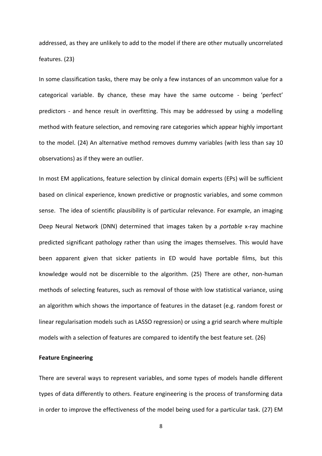addressed, as they are unlikely to add to the model if there are other mutually uncorrelated features. (23)

In some classification tasks, there may be only a few instances of an uncommon value for a categorical variable. By chance, these may have the same outcome - being 'perfect' predictors - and hence result in overfitting. This may be addressed by using a modelling method with feature selection, and removing rare categories which appear highly important to the model. (24) An alternative method removes dummy variables (with less than say 10 observations) as if they were an outlier.

In most EM applications, feature selection by clinical domain experts (EPs) will be sufficient based on clinical experience, known predictive or prognostic variables, and some common sense. The idea of scientific plausibility is of particular relevance. For example, an imaging Deep Neural Network (DNN) determined that images taken by a *portable* x-ray machine predicted significant pathology rather than using the images themselves. This would have been apparent given that sicker patients in ED would have portable films, but this knowledge would not be discernible to the algorithm. (25) There are other, non-human methods of selecting features, such as removal of those with low statistical variance, using an algorithm which shows the importance of features in the dataset (e.g. random forest or linear regularisation models such as LASSO regression) or using a grid search where multiple models with a selection of features are compared to identify the best feature set. (26)

#### **Feature Engineering**

There are several ways to represent variables, and some types of models handle different types of data differently to others. Feature engineering is the process of transforming data in order to improve the effectiveness of the model being used for a particular task. (27) EM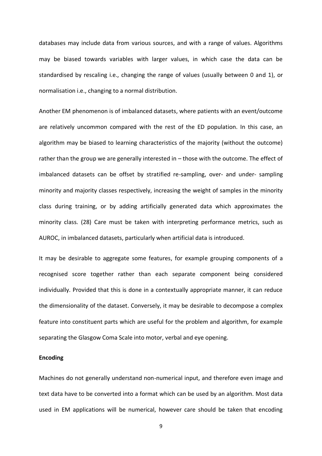databases may include data from various sources, and with a range of values. Algorithms may be biased towards variables with larger values, in which case the data can be standardised by rescaling i.e., changing the range of values (usually between 0 and 1), or normalisation i.e., changing to a normal distribution.

Another EM phenomenon is of imbalanced datasets, where patients with an event/outcome are relatively uncommon compared with the rest of the ED population. In this case, an algorithm may be biased to learning characteristics of the majority (without the outcome) rather than the group we are generally interested in – those with the outcome. The effect of imbalanced datasets can be offset by stratified re-sampling, over- and under- sampling minority and majority classes respectively, increasing the weight of samples in the minority class during training, or by adding artificially generated data which approximates the minority class. (28) Care must be taken with interpreting performance metrics, such as AUROC, in imbalanced datasets, particularly when artificial data is introduced.

It may be desirable to aggregate some features, for example grouping components of a recognised score together rather than each separate component being considered individually. Provided that this is done in a contextually appropriate manner, it can reduce the dimensionality of the dataset. Conversely, it may be desirable to decompose a complex feature into constituent parts which are useful for the problem and algorithm, for example separating the Glasgow Coma Scale into motor, verbal and eye opening.

#### **Encoding**

Machines do not generally understand non-numerical input, and therefore even image and text data have to be converted into a format which can be used by an algorithm. Most data used in EM applications will be numerical, however care should be taken that encoding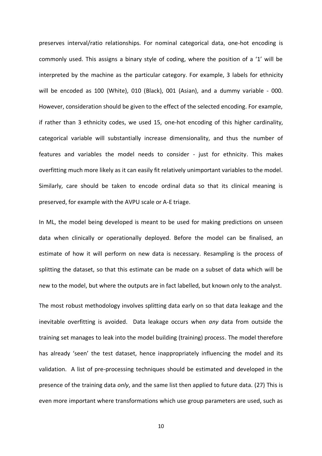preserves interval/ratio relationships. For nominal categorical data, one-hot encoding is commonly used. This assigns a binary style of coding, where the position of a '1' will be interpreted by the machine as the particular category. For example, 3 labels for ethnicity will be encoded as 100 (White), 010 (Black), 001 (Asian), and a dummy variable - 000. However, consideration should be given to the effect of the selected encoding. For example, if rather than 3 ethnicity codes, we used 15, one-hot encoding of this higher cardinality, categorical variable will substantially increase dimensionality, and thus the number of features and variables the model needs to consider - just for ethnicity. This makes overfitting much more likely as it can easily fit relatively unimportant variables to the model. Similarly, care should be taken to encode ordinal data so that its clinical meaning is preserved, for example with the AVPU scale or A-E triage.

In ML, the model being developed is meant to be used for making predictions on unseen data when clinically or operationally deployed. Before the model can be finalised, an estimate of how it will perform on new data is necessary. Resampling is the process of splitting the dataset, so that this estimate can be made on a subset of data which will be new to the model, but where the outputs are in fact labelled, but known only to the analyst.

The most robust methodology involves splitting data early on so that data leakage and the inevitable overfitting is avoided. Data leakage occurs when *any* data from outside the training set manages to leak into the model building (training) process. The model therefore has already 'seen' the test dataset, hence inappropriately influencing the model and its validation. A list of pre-processing techniques should be estimated and developed in the presence of the training data *only*, and the same list then applied to future data. (27) This is even more important where transformations which use group parameters are used, such as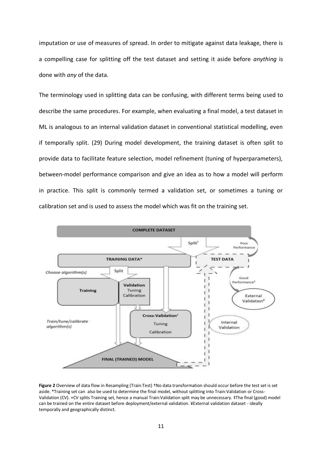imputation or use of measures of spread. In order to mitigate against data leakage, there is a compelling case for splitting off the test dataset and setting it aside before *anything* is done with *any* of the data.

The terminology used in splitting data can be confusing, with different terms being used to describe the same procedures. For example, when evaluating a final model, a test dataset in ML is analogous to an internal validation dataset in conventional statistical modelling, even if temporally split. (29) During model development, the training dataset is often split to provide data to facilitate feature selection, model refinement (tuning of hyperparameters), between-model performance comparison and give an idea as to how a model will perform in practice. This split is commonly termed a validation set, or sometimes a tuning or calibration set and is used to assess the model which was fit on the training set.



**Figure 2** Overview of data flow in Resampling (Train:Test) †No data transformation should occur before the test set is set aside. \*Training set can also be used to determine the final model, without splitting into Train:Validation or Cross-Validation (CV). +CV splits Training set, hence a manual Train:Validation split may be unnecessary. ‡The final (good) model can be trained on the entire dataset before deployment/external validation. ¥External validation dataset - ideally temporally and geographically distinct.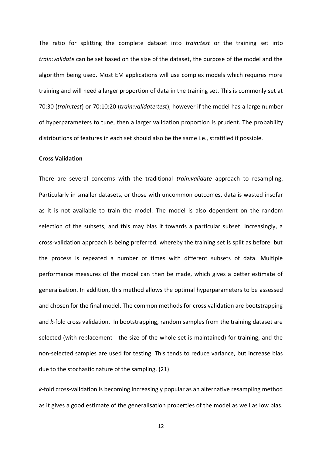The ratio for splitting the complete dataset into *train:test* or the training set into *train:validate* can be set based on the size of the dataset, the purpose of the model and the algorithm being used. Most EM applications will use complex models which requires more training and will need a larger proportion of data in the training set. This is commonly set at 70:30 (*train:test*) or 70:10:20 (*train:validate:test*), however if the model has a large number of hyperparameters to tune, then a larger validation proportion is prudent. The probability distributions of features in each set should also be the same i.e., stratified if possible.

#### **Cross Validation**

There are several concerns with the traditional *train:validate* approach to resampling. Particularly in smaller datasets, or those with uncommon outcomes, data is wasted insofar as it is not available to train the model. The model is also dependent on the random selection of the subsets, and this may bias it towards a particular subset. Increasingly, a cross-validation approach is being preferred, whereby the training set is split as before, but the process is repeated a number of times with different subsets of data. Multiple performance measures of the model can then be made, which gives a better estimate of generalisation. In addition, this method allows the optimal hyperparameters to be assessed and chosen for the final model. The common methods for cross validation are bootstrapping and *k*-fold cross validation. In bootstrapping, random samples from the training dataset are selected (with replacement - the size of the whole set is maintained) for training, and the non-selected samples are used for testing. This tends to reduce variance, but increase bias due to the stochastic nature of the sampling. (21)

*k*-fold cross-validation is becoming increasingly popular as an alternative resampling method as it gives a good estimate of the generalisation properties of the model as well as low bias.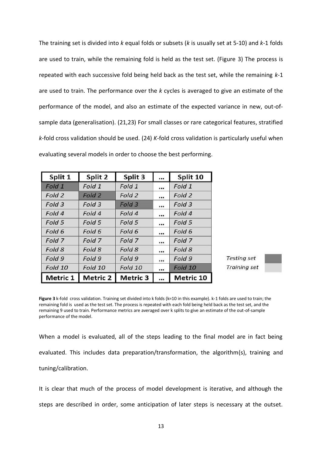The training set is divided into *k* equal folds or subsets (*k* is usually set at 5-10) and *k*-1 folds are used to train, while the remaining fold is held as the test set. (Figure 3) The process is repeated with each successive fold being held back as the test set, while the remaining *k*-1 are used to train. The performance over the *k* cycles is averaged to give an estimate of the performance of the model, and also an estimate of the expected variance in new, out-ofsample data (generalisation). (21,23) For small classes or rare categorical features, stratified *k*-fold cross validation should be used. (24) *K*-fold cross validation is particularly useful when evaluating several models in order to choose the best performing.

| Split 1  | Split 2         | Split 3  | $\cdots$ | Split 10         |
|----------|-----------------|----------|----------|------------------|
| Fold 1   | Fold 1          | Fold 1   |          | Fold 1           |
| Fold 2   | Fold 2          | Fold 2   |          | Fold 2           |
| Fold 3   | Fold 3          | Fold 3   | $\cdots$ | Fold 3           |
| Fold 4   | Fold 4          | Fold 4   |          | Fold 4           |
| Fold 5   | Fold 5          | Fold 5   |          | Fold 5           |
| Fold 6   | Fold 6          | Fold 6   |          | Fold 6           |
| Fold 7   | Fold 7          | Fold 7   |          | Fold 7           |
| Fold 8   | Fold 8          | Fold 8   |          | Fold 8           |
| Fold 9   | Fold 9          | Fold 9   | $\cdots$ | Fold 9           |
| Fold 10  | Fold 10         | Fold 10  |          | Fold 10          |
| Metric 1 | <b>Metric 2</b> | Metric 3 |          | <b>Metric 10</b> |



**Figure 3** k-fold cross validation. Training set divided into k folds (k=10 in this example). k-1 folds are used to train; the remaining fold is used as the test set. The process is repeated with each fold being held back as the test set, and the remaining 9 used to train. Performance metrics are averaged over k splits to give an estimate of the out-of-sample performance of the model.

When a model is evaluated, all of the steps leading to the final model are in fact being evaluated. This includes data preparation/transformation, the algorithm(s), training and tuning/calibration.

It is clear that much of the process of model development is iterative, and although the

steps are described in order, some anticipation of later steps is necessary at the outset.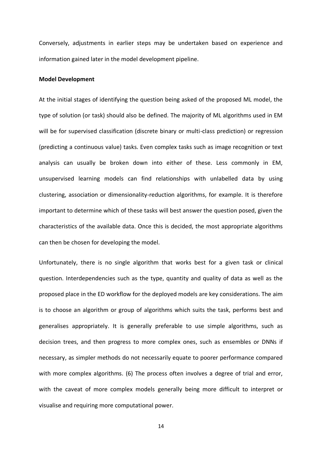Conversely, adjustments in earlier steps may be undertaken based on experience and information gained later in the model development pipeline.

#### **Model Development**

At the initial stages of identifying the question being asked of the proposed ML model, the type of solution (or task) should also be defined. The majority of ML algorithms used in EM will be for supervised classification (discrete binary or multi-class prediction) or regression (predicting a continuous value) tasks. Even complex tasks such as image recognition or text analysis can usually be broken down into either of these. Less commonly in EM, unsupervised learning models can find relationships with unlabelled data by using clustering, association or dimensionality-reduction algorithms, for example. It is therefore important to determine which of these tasks will best answer the question posed, given the characteristics of the available data. Once this is decided, the most appropriate algorithms can then be chosen for developing the model.

Unfortunately, there is no single algorithm that works best for a given task or clinical question. Interdependencies such as the type, quantity and quality of data as well as the proposed place in the ED workflow for the deployed models are key considerations. The aim is to choose an algorithm or group of algorithms which suits the task, performs best and generalises appropriately. It is generally preferable to use simple algorithms, such as decision trees, and then progress to more complex ones, such as ensembles or DNNs if necessary, as simpler methods do not necessarily equate to poorer performance compared with more complex algorithms. (6) The process often involves a degree of trial and error, with the caveat of more complex models generally being more difficult to interpret or visualise and requiring more computational power.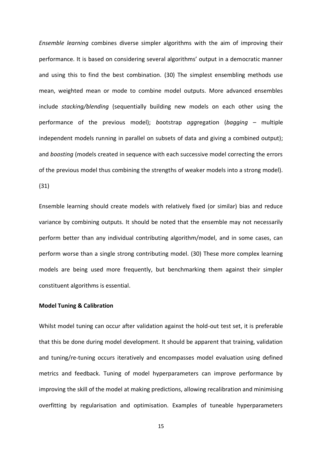*Ensemble learning* combines diverse simpler algorithms with the aim of improving their performance. It is based on considering several algorithms' output in a democratic manner and using this to find the best combination. (30) The simplest ensembling methods use mean, weighted mean or mode to combine model outputs. More advanced ensembles include *stacking/blending* (sequentially building new models on each other using the performance of the previous model); *b*ootstrap *agg*regation (*bagging* – multiple independent models running in parallel on subsets of data and giving a combined output); and *boosting* (models created in sequence with each successive model correcting the errors of the previous model thus combining the strengths of weaker models into a strong model). (31)

Ensemble learning should create models with relatively fixed (or similar) bias and reduce variance by combining outputs. It should be noted that the ensemble may not necessarily perform better than any individual contributing algorithm/model, and in some cases, can perform worse than a single strong contributing model. (30) These more complex learning models are being used more frequently, but benchmarking them against their simpler constituent algorithms is essential.

#### **Model Tuning & Calibration**

Whilst model tuning can occur after validation against the hold-out test set, it is preferable that this be done during model development. It should be apparent that training, validation and tuning/re-tuning occurs iteratively and encompasses model evaluation using defined metrics and feedback. Tuning of model hyperparameters can improve performance by improving the skill of the model at making predictions, allowing recalibration and minimising overfitting by regularisation and optimisation. Examples of tuneable hyperparameters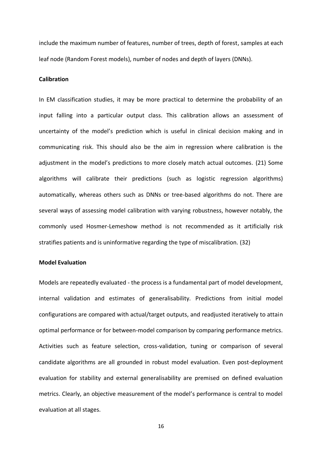include the maximum number of features, number of trees, depth of forest, samples at each leaf node (Random Forest models), number of nodes and depth of layers (DNNs).

#### **Calibration**

In EM classification studies, it may be more practical to determine the probability of an input falling into a particular output class. This calibration allows an assessment of uncertainty of the model's prediction which is useful in clinical decision making and in communicating risk. This should also be the aim in regression where calibration is the adjustment in the model's predictions to more closely match actual outcomes. (21) Some algorithms will calibrate their predictions (such as logistic regression algorithms) automatically, whereas others such as DNNs or tree-based algorithms do not. There are several ways of assessing model calibration with varying robustness, however notably, the commonly used Hosmer-Lemeshow method is not recommended as it artificially risk stratifies patients and is uninformative regarding the type of miscalibration. (32)

#### **Model Evaluation**

Models are repeatedly evaluated - the process is a fundamental part of model development, internal validation and estimates of generalisability. Predictions from initial model configurations are compared with actual/target outputs, and readjusted iteratively to attain optimal performance or for between-model comparison by comparing performance metrics. Activities such as feature selection, cross-validation, tuning or comparison of several candidate algorithms are all grounded in robust model evaluation. Even post-deployment evaluation for stability and external generalisability are premised on defined evaluation metrics. Clearly, an objective measurement of the model's performance is central to model evaluation at all stages.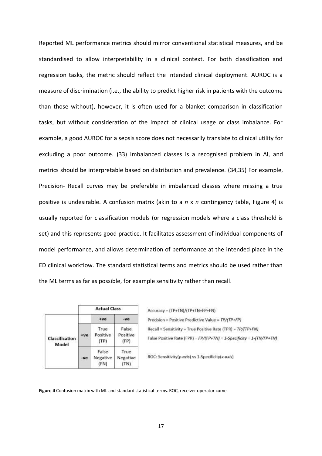Reported ML performance metrics should mirror conventional statistical measures, and be standardised to allow interpretability in a clinical context. For both classification and regression tasks, the metric should reflect the intended clinical deployment. AUROC is a measure of discrimination (i.e., the ability to predict higher risk in patients with the outcome than those without), however, it is often used for a blanket comparison in classification tasks, but without consideration of the impact of clinical usage or class imbalance. For example, a good AUROC for a sepsis score does not necessarily translate to clinical utility for excluding a poor outcome. (33) Imbalanced classes is a recognised problem in AI, and metrics should be interpretable based on distribution and prevalence. (34,35) For example, Precision- Recall curves may be preferable in imbalanced classes where missing a true positive is undesirable. A confusion matrix (akin to a *n* x *n* contingency table, Figure 4) is usually reported for classification models (or regression models where a class threshold is set) and this represents good practice. It facilitates assessment of individual components of model performance, and allows determination of performance at the intended place in the ED clinical workflow. The standard statistical terms and metrics should be used rather than the ML terms as far as possible, for example sensitivity rather than recall.

|                         | <b>Actual Class</b> |                           |                           |
|-------------------------|---------------------|---------------------------|---------------------------|
|                         |                     | $+ve$                     | $-ve$                     |
| Classification<br>Model | $+ve$               | True<br>Positive<br>(TP)  | False<br>Positive<br>(FP) |
|                         | $-ve$               | False<br>Negative<br>(FN) | True<br>Negative<br>(TN)  |

Accuracy = (TP+TN)/(TP+TN+FP+FN) Precision = Positive Predictive Value = TP/(TP+FP) Recall = Sensitivity = True Positive Rate (TPR) = TP/(TP+FN) False Positive Rate (FPR) =  $FP/(FP+TN)$  = 1-Specificity = 1-(TN/FP+TN)

ROC: Sensitivity(y-axis) vs 1-Specificity(x-axis)

**Figure 4** Confusion matrix with ML and standard statistical terms. ROC, receiver operator curve.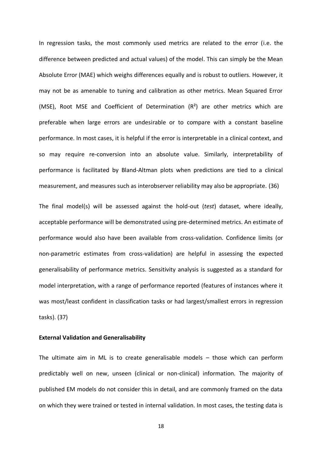In regression tasks, the most commonly used metrics are related to the error (i.e. the difference between predicted and actual values) of the model. This can simply be the Mean Absolute Error (MAE) which weighs differences equally and is robust to outliers. However, it may not be as amenable to tuning and calibration as other metrics. Mean Squared Error (MSE), Root MSE and Coefficient of Determination  $(R^2)$  are other metrics which are preferable when large errors are undesirable or to compare with a constant baseline performance. In most cases, it is helpful if the error is interpretable in a clinical context, and so may require re-conversion into an absolute value. Similarly, interpretability of performance is facilitated by Bland-Altman plots when predictions are tied to a clinical measurement, and measures such as interobserver reliability may also be appropriate. (36)

The final model(s) will be assessed against the hold-out (*test*) dataset, where ideally, acceptable performance will be demonstrated using pre-determined metrics. An estimate of performance would also have been available from cross-validation. Confidence limits (or non-parametric estimates from cross-validation) are helpful in assessing the expected generalisability of performance metrics. Sensitivity analysis is suggested as a standard for model interpretation, with a range of performance reported (features of instances where it was most/least confident in classification tasks or had largest/smallest errors in regression tasks). (37)

#### **External Validation and Generalisability**

The ultimate aim in ML is to create generalisable models – those which can perform predictably well on new, unseen (clinical or non-clinical) information*.* The majority of published EM models do not consider this in detail, and are commonly framed on the data on which they were trained or tested in internal validation. In most cases, the testing data is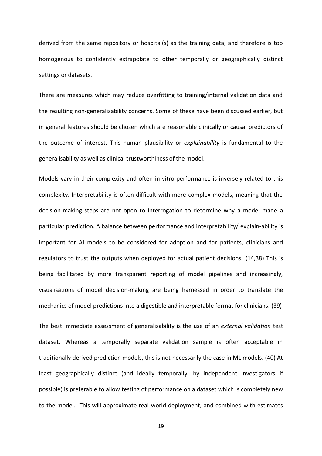derived from the same repository or hospital(s) as the training data, and therefore is too homogenous to confidently extrapolate to other temporally or geographically distinct settings or datasets.

There are measures which may reduce overfitting to training/internal validation data and the resulting non-generalisability concerns. Some of these have been discussed earlier, but in general features should be chosen which are reasonable clinically or causal predictors of the outcome of interest. This human plausibility or *explainability* is fundamental to the generalisability as well as clinical trustworthiness of the model.

Models vary in their complexity and often in vitro performance is inversely related to this complexity. Interpretability is often difficult with more complex models, meaning that the decision-making steps are not open to interrogation to determine why a model made a particular prediction. A balance between performance and interpretability/ explain-ability is important for AI models to be considered for adoption and for patients, clinicians and regulators to trust the outputs when deployed for actual patient decisions. (14,38) This is being facilitated by more transparent reporting of model pipelines and increasingly, visualisations of model decision-making are being harnessed in order to translate the mechanics of model predictions into a digestible and interpretable format for clinicians. (39)

The best immediate assessment of generalisability is the use of an *external validation* test dataset. Whereas a temporally separate validation sample is often acceptable in traditionally derived prediction models, this is not necessarily the case in ML models. (40) At least geographically distinct (and ideally temporally, by independent investigators if possible) is preferable to allow testing of performance on a dataset which is completely new to the model. This will approximate real-world deployment, and combined with estimates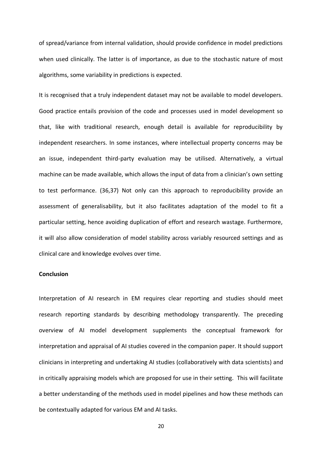of spread/variance from internal validation, should provide confidence in model predictions when used clinically. The latter is of importance, as due to the stochastic nature of most algorithms, some variability in predictions is expected.

It is recognised that a truly independent dataset may not be available to model developers. Good practice entails provision of the code and processes used in model development so that, like with traditional research, enough detail is available for reproducibility by independent researchers. In some instances, where intellectual property concerns may be an issue, independent third-party evaluation may be utilised. Alternatively, a virtual machine can be made available, which allows the input of data from a clinician's own setting to test performance. (36,37) Not only can this approach to reproducibility provide an assessment of generalisability, but it also facilitates adaptation of the model to fit a particular setting, hence avoiding duplication of effort and research wastage. Furthermore, it will also allow consideration of model stability across variably resourced settings and as clinical care and knowledge evolves over time.

#### **Conclusion**

Interpretation of AI research in EM requires clear reporting and studies should meet research reporting standards by describing methodology transparently. The preceding overview of AI model development supplements the conceptual framework for interpretation and appraisal of AI studies covered in the companion paper. It should support clinicians in interpreting and undertaking AI studies (collaboratively with data scientists) and in critically appraising models which are proposed for use in their setting. This will facilitate a better understanding of the methods used in model pipelines and how these methods can be contextually adapted for various EM and AI tasks.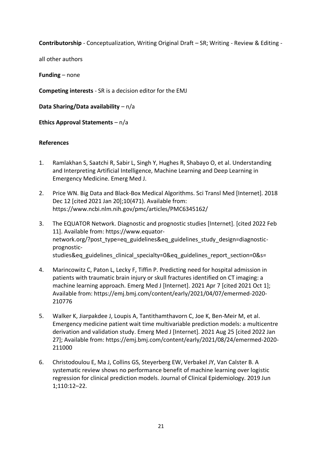**Contributorship** - Conceptualization, Writing Original Draft – SR; Writing - Review & Editing -

all other authors

**Funding** – none

**Competing interests** - SR is a decision editor for the EMJ

**Data Sharing/Data availability** – n/a

**Ethics Approval Statements** – n/a

### **References**

- 1. Ramlakhan S, Saatchi R, Sabir L, Singh Y, Hughes R, Shabayo O, et al. Understanding and Interpreting Artificial Intelligence, Machine Learning and Deep Learning in Emergency Medicine. Emerg Med J.
- 2. Price WN. Big Data and Black-Box Medical Algorithms. Sci Transl Med [Internet]. 2018 Dec 12 [cited 2021 Jan 20];10(471). Available from: https://www.ncbi.nlm.nih.gov/pmc/articles/PMC6345162/
- 3. The EQUATOR Network. Diagnostic and prognostic studies [Internet]. [cited 2022 Feb 11]. Available from: https://www.equatornetwork.org/?post\_type=eq\_guidelines&eq\_guidelines\_study\_design=diagnosticprognosticstudies&eq guidelines clinical specialty=0&eq guidelines report section=0&s=
- 4. Marincowitz C, Paton L, Lecky F, Tiffin P. Predicting need for hospital admission in patients with traumatic brain injury or skull fractures identified on CT imaging: a machine learning approach. Emerg Med J [Internet]. 2021 Apr 7 [cited 2021 Oct 1]; Available from: https://emj.bmj.com/content/early/2021/04/07/emermed-2020- 210776
- 5. Walker K, Jiarpakdee J, Loupis A, Tantithamthavorn C, Joe K, Ben-Meir M, et al. Emergency medicine patient wait time multivariable prediction models: a multicentre derivation and validation study. Emerg Med J [Internet]. 2021 Aug 25 [cited 2022 Jan 27]; Available from: https://emj.bmj.com/content/early/2021/08/24/emermed-2020- 211000
- 6. Christodoulou E, Ma J, Collins GS, Steyerberg EW, Verbakel JY, Van Calster B. A systematic review shows no performance benefit of machine learning over logistic regression for clinical prediction models. Journal of Clinical Epidemiology. 2019 Jun 1;110:12–22.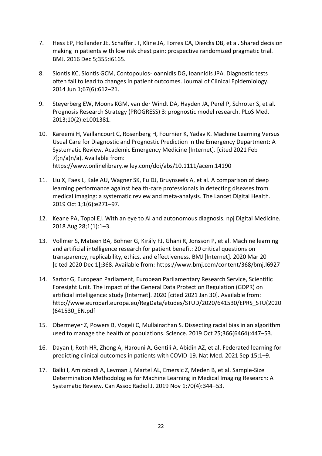- 7. Hess EP, Hollander JE, Schaffer JT, Kline JA, Torres CA, Diercks DB, et al. Shared decision making in patients with low risk chest pain: prospective randomized pragmatic trial. BMJ. 2016 Dec 5;355:i6165.
- 8. Siontis KC, Siontis GCM, Contopoulos-Ioannidis DG, Ioannidis JPA. Diagnostic tests often fail to lead to changes in patient outcomes. Journal of Clinical Epidemiology. 2014 Jun 1;67(6):612–21.
- 9. Steyerberg EW, Moons KGM, van der Windt DA, Hayden JA, Perel P, Schroter S, et al. Prognosis Research Strategy (PROGRESS) 3: prognostic model research. PLoS Med. 2013;10(2):e1001381.
- 10. Kareemi H, Vaillancourt C, Rosenberg H, Fournier K, Yadav K. Machine Learning Versus Usual Care for Diagnostic and Prognostic Prediction in the Emergency Department: A Systematic Review. Academic Emergency Medicine [Internet]. [cited 2021 Feb 7];n/a(n/a). Available from: https://www.onlinelibrary.wiley.com/doi/abs/10.1111/acem.14190
- 11. Liu X, Faes L, Kale AU, Wagner SK, Fu DJ, Bruynseels A, et al. A comparison of deep learning performance against health-care professionals in detecting diseases from medical imaging: a systematic review and meta-analysis. The Lancet Digital Health. 2019 Oct 1;1(6):e271–97.
- 12. Keane PA, Topol EJ. With an eye to AI and autonomous diagnosis. npj Digital Medicine. 2018 Aug 28;1(1):1–3.
- 13. Vollmer S, Mateen BA, Bohner G, Király FJ, Ghani R, Jonsson P, et al. Machine learning and artificial intelligence research for patient benefit: 20 critical questions on transparency, replicability, ethics, and effectiveness. BMJ [Internet]. 2020 Mar 20 [cited 2020 Dec 1];368. Available from: https://www.bmj.com/content/368/bmj.l6927
- 14. Sartor G, European Parliament, European Parliamentary Research Service, Scientific Foresight Unit. The impact of the General Data Protection Regulation (GDPR) on artificial intelligence: study [Internet]. 2020 [cited 2021 Jan 30]. Available from: http://www.europarl.europa.eu/RegData/etudes/STUD/2020/641530/EPRS\_STU(2020 )641530\_EN.pdf
- 15. Obermeyer Z, Powers B, Vogeli C, Mullainathan S. Dissecting racial bias in an algorithm used to manage the health of populations. Science. 2019 Oct 25;366(6464):447–53.
- 16. Dayan I, Roth HR, Zhong A, Harouni A, Gentili A, Abidin AZ, et al. Federated learning for predicting clinical outcomes in patients with COVID-19. Nat Med. 2021 Sep 15;1–9.
- 17. Balki I, Amirabadi A, Levman J, Martel AL, Emersic Z, Meden B, et al. Sample-Size Determination Methodologies for Machine Learning in Medical Imaging Research: A Systematic Review. Can Assoc Radiol J. 2019 Nov 1;70(4):344–53.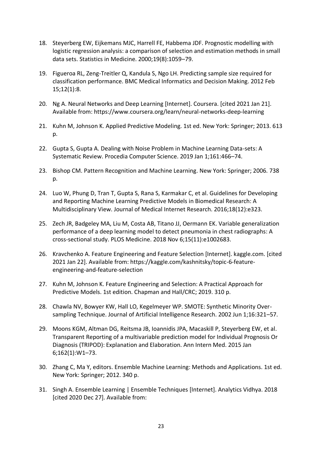- 18. Steyerberg EW, Eijkemans MJC, Harrell FE, Habbema JDF. Prognostic modelling with logistic regression analysis: a comparison of selection and estimation methods in small data sets. Statistics in Medicine. 2000;19(8):1059–79.
- 19. Figueroa RL, Zeng-Treitler Q, Kandula S, Ngo LH. Predicting sample size required for classification performance. BMC Medical Informatics and Decision Making. 2012 Feb 15;12(1):8.
- 20. Ng A. Neural Networks and Deep Learning [Internet]. Coursera. [cited 2021 Jan 21]. Available from: https://www.coursera.org/learn/neural-networks-deep-learning
- 21. Kuhn M, Johnson K. Applied Predictive Modeling. 1st ed. New York: Springer; 2013. 613 p.
- 22. Gupta S, Gupta A. Dealing with Noise Problem in Machine Learning Data-sets: A Systematic Review. Procedia Computer Science. 2019 Jan 1;161:466–74.
- 23. Bishop CM. Pattern Recognition and Machine Learning. New York: Springer; 2006. 738 p.
- 24. Luo W, Phung D, Tran T, Gupta S, Rana S, Karmakar C, et al. Guidelines for Developing and Reporting Machine Learning Predictive Models in Biomedical Research: A Multidisciplinary View. Journal of Medical Internet Research. 2016;18(12):e323.
- 25. Zech JR, Badgeley MA, Liu M, Costa AB, Titano JJ, Oermann EK. Variable generalization performance of a deep learning model to detect pneumonia in chest radiographs: A cross-sectional study. PLOS Medicine. 2018 Nov 6;15(11):e1002683.
- 26. Kravchenko A. Feature Engineering and Feature Selection [Internet]. kaggle.com. [cited 2021 Jan 22]. Available from: https://kaggle.com/kashnitsky/topic-6-featureengineering-and-feature-selection
- 27. Kuhn M, Johnson K. Feature Engineering and Selection: A Practical Approach for Predictive Models. 1st edition. Chapman and Hall/CRC; 2019. 310 p.
- 28. Chawla NV, Bowyer KW, Hall LO, Kegelmeyer WP. SMOTE: Synthetic Minority Oversampling Technique. Journal of Artificial Intelligence Research. 2002 Jun 1;16:321–57.
- 29. Moons KGM, Altman DG, Reitsma JB, Ioannidis JPA, Macaskill P, Steyerberg EW, et al. Transparent Reporting of a multivariable prediction model for Individual Prognosis Or Diagnosis (TRIPOD): Explanation and Elaboration. Ann Intern Med. 2015 Jan 6;162(1):W1–73.
- 30. Zhang C, Ma Y, editors. Ensemble Machine Learning: Methods and Applications. 1st ed. New York: Springer; 2012. 340 p.
- 31. Singh A. Ensemble Learning | Ensemble Techniques [Internet]. Analytics Vidhya. 2018 [cited 2020 Dec 27]. Available from: